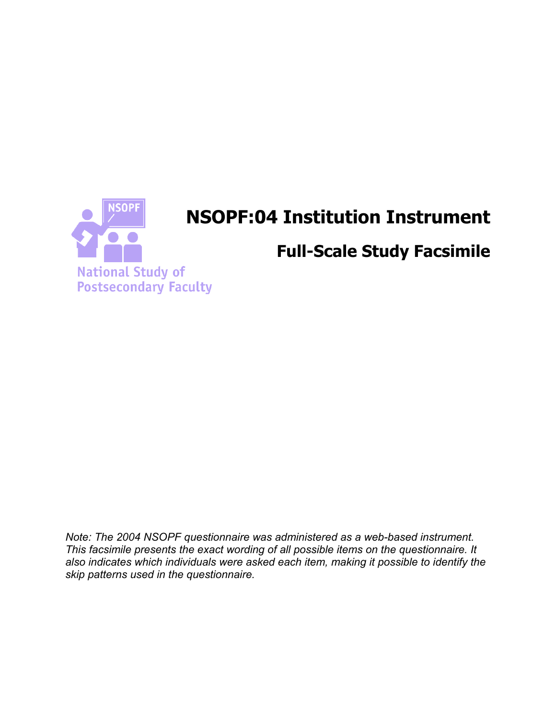

# **NSOPF:04 Institution Instrument**

# **Full-Scale Study Facsimile**

**Postsecondary Faculty** 

*Note: The 2004 NSOPF questionnaire was administered as a web-based instrument. This facsimile presents the exact wording of all possible items on the questionnaire. It also indicates which individuals were asked each item, making it possible to identify the skip patterns used in the questionnaire.*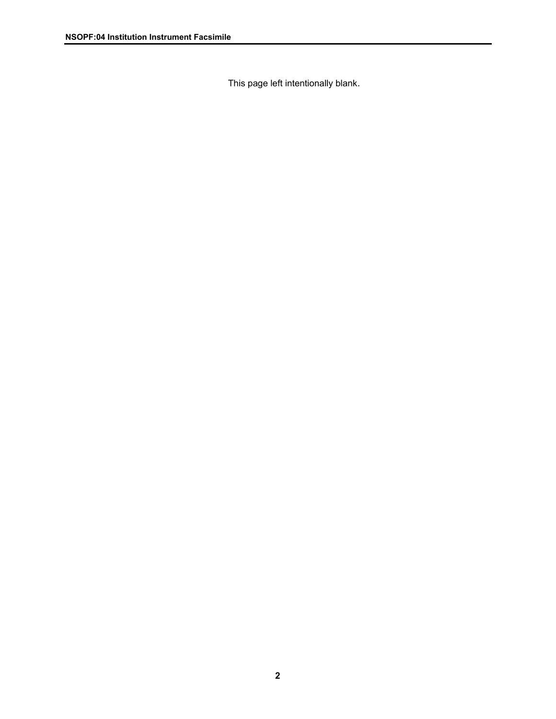This page left intentionally blank.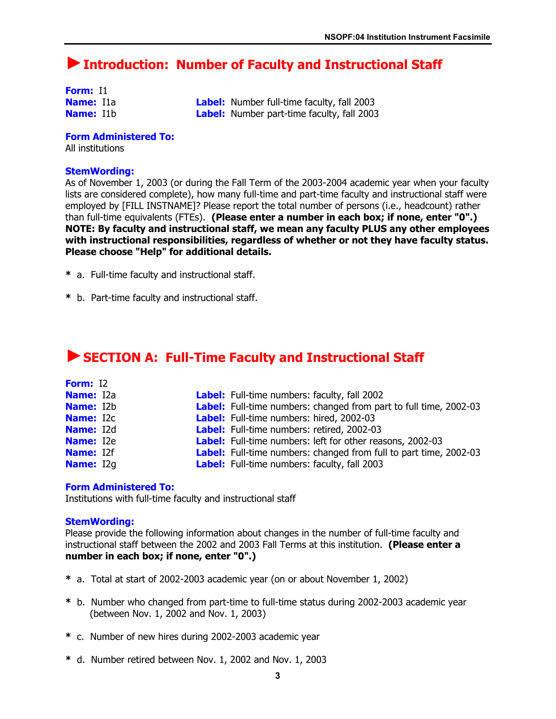# **►Introduction: Number of Faculty and Instructional Staff**

| <b>Form: II</b>  |                                                   |
|------------------|---------------------------------------------------|
| <b>Name: I1a</b> | <b>Label:</b> Number full-time faculty, fall 2003 |
| <b>Name: I1b</b> | <b>Label:</b> Number part-time faculty, fall 2003 |

#### **Form Administered To:** All institutions

#### **StemWording:**

As of November 1, 2003 (or during the Fall Term of the 2003-2004 academic year when your faculty lists are considered complete), how many full-time and part-time faculty and instructional staff were employed by [FILL INSTNAME]? Please report the total number of persons (i.e., headcount) rather than full-time equivalents (FTEs). **(Please enter a number in each box; if none, enter "0".) NOTE: By faculty and instructional staff, we mean any faculty PLUS any other employees with instructional responsibilities, regardless of whether or not they have faculty status. Please choose "Help" for additional details.** 

**\*** a. Full-time faculty and instructional staff.

**\*** b. Part-time faculty and instructional staff.

# **►SECTION A: Full-Time Faculty and Instructional Staff**

| <b>Form: I2</b>  |  |                                              |                                                                   |
|------------------|--|----------------------------------------------|-------------------------------------------------------------------|
| Name: I2a        |  | Label: Full-time numbers: faculty, fall 2002 |                                                                   |
| <b>Name: I2b</b> |  |                                              | Label: Full-time numbers: changed from part to full time, 2002-03 |
| <b>Name: I2c</b> |  | Label: Full-time numbers: hired, 2002-03     |                                                                   |
| Name: I2d        |  | Label: Full-time numbers: retired, 2002-03   |                                                                   |
| Name: I2e        |  |                                              | Label: Full-time numbers: left for other reasons, 2002-03         |
| Name: I2f        |  |                                              | Label: Full-time numbers: changed from full to part time, 2002-03 |
| <b>Name: I2g</b> |  | Label: Full-time numbers: faculty, fall 2003 |                                                                   |

#### **Form Administered To:**

Institutions with full-time faculty and instructional staff

#### **StemWording:**

Please provide the following information about changes in the number of full-time faculty and instructional staff between the 2002 and 2003 Fall Terms at this institution. **(Please enter a number in each box; if none, enter "0".)** 

- **\*** a. Total at start of 2002-2003 academic year (on or about November 1, 2002)
- **\*** b. Number who changed from part-time to full-time status during 2002-2003 academic year (between Nov. 1, 2002 and Nov. 1, 2003)
- **\*** c. Number of new hires during 2002-2003 academic year
- **\*** d. Number retired between Nov. 1, 2002 and Nov. 1, 2003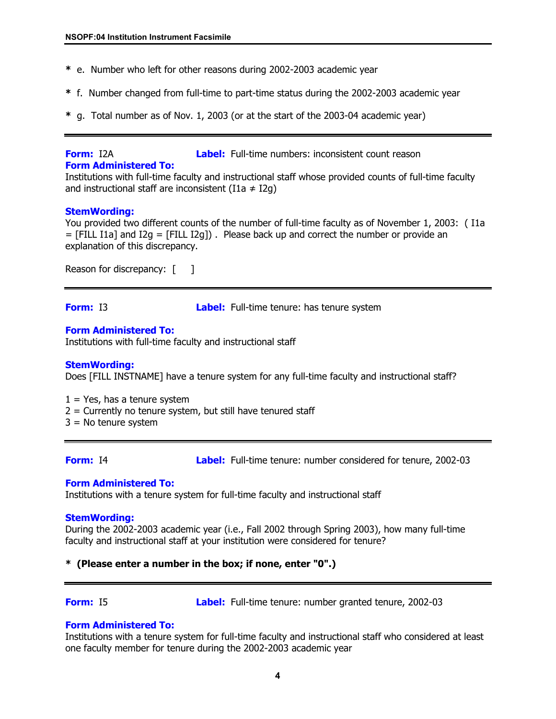- **\*** e. Number who left for other reasons during 2002-2003 academic year
- **\*** f. Number changed from full-time to part-time status during the 2002-2003 academic year
- **\*** g. Total number as of Nov. 1, 2003 (or at the start of the 2003-04 academic year)

#### **Form:** I2A **Label:** Full-time numbers: inconsistent count reason **Form Administered To:**

Institutions with full-time faculty and instructional staff whose provided counts of full-time faculty and instructional staff are inconsistent (I1a  $\neq$  I2g)

#### **StemWording:**

You provided two different counts of the number of full-time faculty as of November 1, 2003: ( I1a  $=$  [FILL I1a] and I2g  $=$  [FILL I2g]). Please back up and correct the number or provide an explanation of this discrepancy.

Reason for discrepancy: [ ]

**Form:** I3 **Label:** Full-time tenure: has tenure system

#### **Form Administered To:**

Institutions with full-time faculty and instructional staff

#### **StemWording:**

Does [FILL INSTNAME] have a tenure system for any full-time faculty and instructional staff?

 $1 = Yes$ , has a tenure system

- $2$  = Currently no tenure system, but still have tenured staff
- $3$  = No tenure system

**Form:** I4 **Label:** Full-time tenure: number considered for tenure, 2002-03

#### **Form Administered To:**

Institutions with a tenure system for full-time faculty and instructional staff

#### **StemWording:**

During the 2002-2003 academic year (i.e., Fall 2002 through Spring 2003), how many full-time faculty and instructional staff at your institution were considered for tenure?

#### **\* (Please enter a number in the box; if none, enter "0".)**

# **Form:** I5 **Label:** Full-time tenure: number granted tenure, 2002-03

#### **Form Administered To:**

Institutions with a tenure system for full-time faculty and instructional staff who considered at least one faculty member for tenure during the 2002-2003 academic year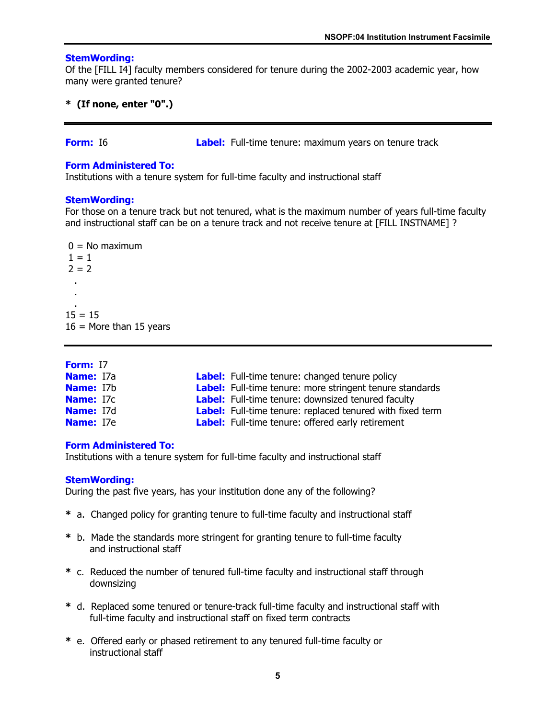#### **StemWording:**

Of the [FILL I4] faculty members considered for tenure during the 2002-2003 academic year, how many were granted tenure?

#### **\* (If none, enter "0".)**

**Form:** I6 **Label:** Full-time tenure: maximum years on tenure track

#### **Form Administered To:**

Institutions with a tenure system for full-time faculty and instructional staff

#### **StemWording:**

For those on a tenure track but not tenured, what is the maximum number of years full-time faculty and instructional staff can be on a tenure track and not receive tenure at [FILL INSTNAME] ?

 $0 = No$  maximum  $1 = 1$  $2 = 2$  . . .  $15 = 15$  $16$  = More than 15 years

| <b>Form: 17</b>  |  |                                                                  |
|------------------|--|------------------------------------------------------------------|
| Name: I7a        |  | <b>Label:</b> Full-time tenure: changed tenure policy            |
| <b>Name: I7b</b> |  | <b>Label:</b> Full-time tenure: more stringent tenure standards  |
| <b>Name: I7c</b> |  | Label: Full-time tenure: downsized tenured faculty               |
| <b>Name: I7d</b> |  | <b>Label:</b> Full-time tenure: replaced tenured with fixed term |
| Name: I7e        |  | Label: Full-time tenure: offered early retirement                |

#### **Form Administered To:**

Institutions with a tenure system for full-time faculty and instructional staff

#### **StemWording:**

During the past five years, has your institution done any of the following?

- **\*** a. Changed policy for granting tenure to full-time faculty and instructional staff
- **\*** b. Made the standards more stringent for granting tenure to full-time faculty and instructional staff
- **\*** c. Reduced the number of tenured full-time faculty and instructional staff through downsizing
- **\*** d. Replaced some tenured or tenure-track full-time faculty and instructional staff with full-time faculty and instructional staff on fixed term contracts
- **\*** e. Offered early or phased retirement to any tenured full-time faculty or instructional staff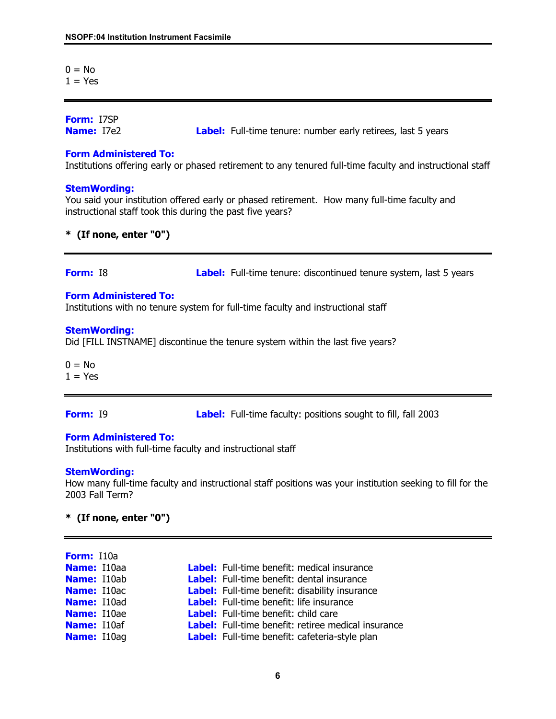$0 = No$  $1 = Yes$ 

**Form:** I7SP **Name:** I7e2 **Label:** Full-time tenure: number early retirees, last 5 years

#### **Form Administered To:**

Institutions offering early or phased retirement to any tenured full-time faculty and instructional staff

#### **StemWording:**

You said your institution offered early or phased retirement. How many full-time faculty and instructional staff took this during the past five years?

**\* (If none, enter "0")**

**Form:** I8 **Label:** Full-time tenure: discontinued tenure system, last 5 years

## **Form Administered To:**

Institutions with no tenure system for full-time faculty and instructional staff

#### **StemWording:**

Did [FILL INSTNAME] discontinue the tenure system within the last five years?

 $0 = No$  $1 = Yes$ 

**Form:** I9 **Label:** Full-time faculty: positions sought to fill, fall 2003

#### **Form Administered To:**

Institutions with full-time faculty and instructional staff

#### **StemWording:**

**Form:** I10a

How many full-time faculty and instructional staff positions was your institution seeking to fill for the 2003 Fall Term?

#### **\* (If none, enter "0")**

| $\blacksquare$     |                                                            |
|--------------------|------------------------------------------------------------|
| Name: I10aa        | <b>Label:</b> Full-time benefit: medical insurance         |
| <b>Name: I10ab</b> | <b>Label:</b> Full-time benefit: dental insurance          |
| Name: I10ac        | <b>Label:</b> Full-time benefit: disability insurance      |
| <b>Name: I10ad</b> | <b>Label:</b> Full-time benefit: life insurance            |
| Name: I10ae        | <b>Label:</b> Full-time benefit: child care                |
| <b>Name: I10af</b> | <b>Label:</b> Full-time benefit: retiree medical insurance |
| <b>Name: I10ag</b> | Label: Full-time benefit: cafeteria-style plan             |
|                    |                                                            |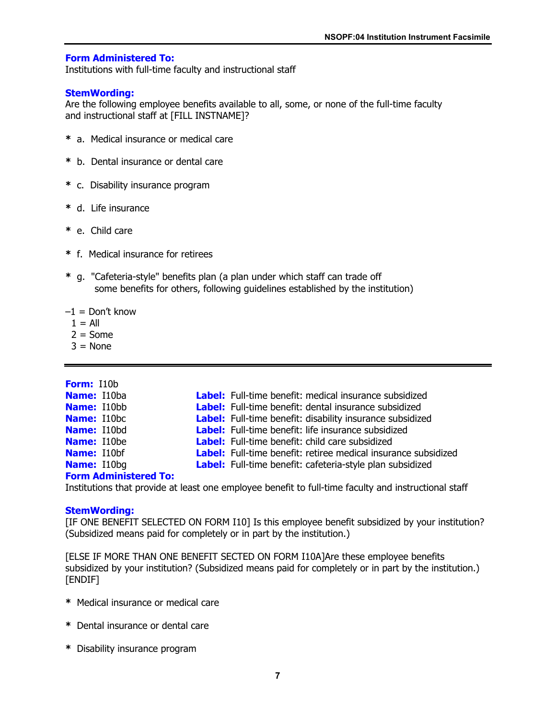#### **Form Administered To:**

Institutions with full-time faculty and instructional staff

#### **StemWording:**

Are the following employee benefits available to all, some, or none of the full-time faculty and instructional staff at [FILL INSTNAME]?

- **\*** a. Medical insurance or medical care
- **\*** b. Dental insurance or dental care
- **\*** c. Disability insurance program
- **\*** d. Life insurance
- **\*** e. Child care
- **\*** f. Medical insurance for retirees
- **\*** g. "Cafeteria-style" benefits plan (a plan under which staff can trade off some benefits for others, following guidelines established by the institution)
- $-1 =$  Don't know
- $1 = \text{All}$
- $2 = Some$
- $3 = \text{None}$
- **Form:** I10b **Name:** I10ba **Label:** Full-time benefit: medical insurance subsidized **Name:** I10bb **Label:** Full-time benefit: dental insurance subsidized **Name:** I10bc **Label:** Full-time benefit: disability insurance subsidized **Name:** I10bd **Label:** Full-time benefit: life insurance subsidized **Name:** I10be **Label:** Full-time benefit: child care subsidized **Name:** I10bf **Label:** Full-time benefit: retiree medical insurance subsidized **Name:** I10bg **Label:** Full-time benefit: cafeteria-style plan subsidized **Form Administered To:**

Institutions that provide at least one employee benefit to full-time faculty and instructional staff

# **StemWording:**

[IF ONE BENEFIT SELECTED ON FORM I10] Is this employee benefit subsidized by your institution? (Subsidized means paid for completely or in part by the institution.)

[ELSE IF MORE THAN ONE BENEFIT SECTED ON FORM I10A]Are these employee benefits subsidized by your institution? (Subsidized means paid for completely or in part by the institution.) [ENDIF]

- **\*** Medical insurance or medical care
- **\*** Dental insurance or dental care
- **\*** Disability insurance program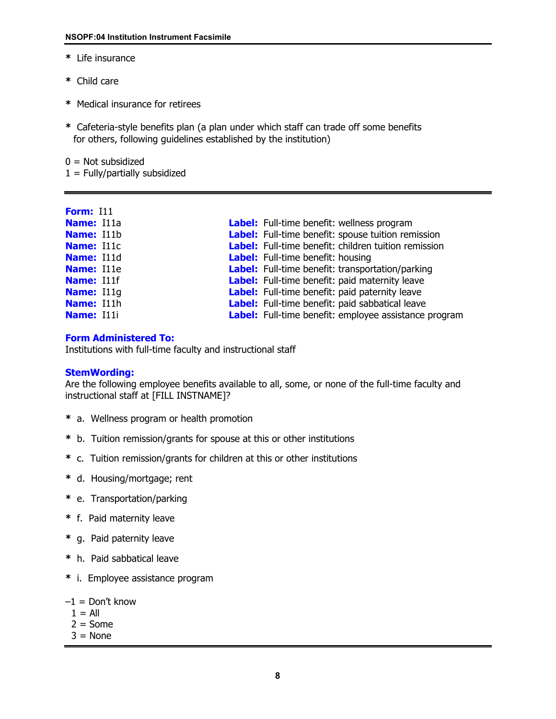- **\*** Life insurance
- **\*** Child care
- **\*** Medical insurance for retirees
- **\*** Cafeteria-style benefits plan (a plan under which staff can trade off some benefits for others, following guidelines established by the institution)

 $0 =$  Not subsidized  $1$  = Fully/partially subsidized

| Form: I11         |                                                             |
|-------------------|-------------------------------------------------------------|
| Name: I11a        | <b>Label:</b> Full-time benefit: wellness program           |
| <b>Name: I11b</b> | <b>Label:</b> Full-time benefit: spouse tuition remission   |
| Name: I11c        | <b>Label:</b> Full-time benefit: children tuition remission |
| Name: I11d        | <b>Label:</b> Full-time benefit: housing                    |
| <b>Name: I11e</b> | <b>Label:</b> Full-time benefit: transportation/parking     |
| Name: I11f        | Label: Full-time benefit: paid maternity leave              |
| <b>Name: I11g</b> | Label: Full-time benefit: paid paternity leave              |
| <b>Name: I11h</b> | Label: Full-time benefit: paid sabbatical leave             |
| Name: I11i        | Label: Full-time benefit: employee assistance program       |

### **Form Administered To:**

Institutions with full-time faculty and instructional staff

#### **StemWording:**

Are the following employee benefits available to all, some, or none of the full-time faculty and instructional staff at [FILL INSTNAME]?

- **\*** a. Wellness program or health promotion
- **\*** b. Tuition remission/grants for spouse at this or other institutions
- **\*** c. Tuition remission/grants for children at this or other institutions
- **\*** d. Housing/mortgage; rent
- **\*** e. Transportation/parking
- **\*** f. Paid maternity leave
- **\*** g. Paid paternity leave
- **\*** h. Paid sabbatical leave
- **\*** i. Employee assistance program
- $-1 =$  Don't know
	- $1 = All$
	- $2 = Some$
	- $3 = None$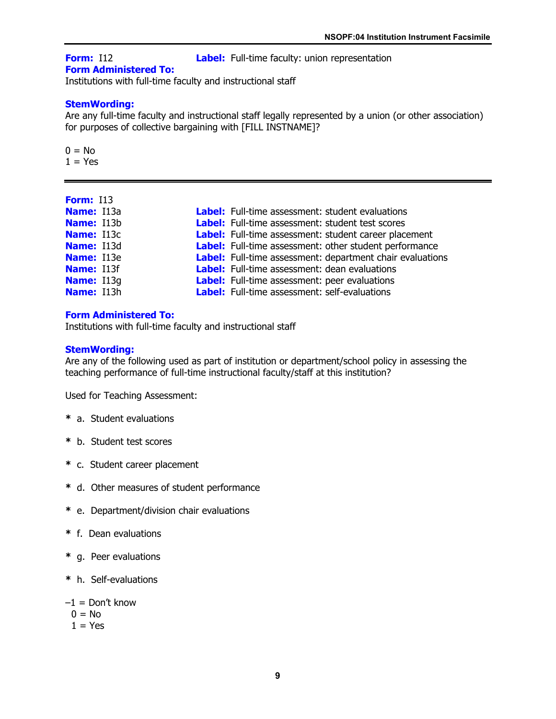#### **Form:** I12 **Label:** Full-time faculty: union representation **Form Administered To:**

Institutions with full-time faculty and instructional staff

## **StemWording:**

Are any full-time faculty and instructional staff legally represented by a union (or other association) for purposes of collective bargaining with [FILL INSTNAME]?

 $0 = No$  $1 = Yes$ 

| <b>Form: I13</b>  |                                                                  |
|-------------------|------------------------------------------------------------------|
| Name: I13a        | <b>Label:</b> Full-time assessment: student evaluations          |
| Name: I13b        | Label: Full-time assessment: student test scores                 |
| Name: I13c        | Label: Full-time assessment: student career placement            |
| Name: I13d        | Label: Full-time assessment: other student performance           |
| Name: I13e        | <b>Label:</b> Full-time assessment: department chair evaluations |
| Name: I13f        | <b>Label:</b> Full-time assessment: dean evaluations             |
| <b>Name: I13g</b> | Label: Full-time assessment: peer evaluations                    |
| Name: I13h        | Label: Full-time assessment: self-evaluations                    |

### **Form Administered To:**

Institutions with full-time faculty and instructional staff

#### **StemWording:**

Are any of the following used as part of institution or department/school policy in assessing the teaching performance of full-time instructional faculty/staff at this institution?

Used for Teaching Assessment:

- **\*** a. Student evaluations
- **\*** b. Student test scores
- **\*** c. Student career placement
- **\*** d. Other measures of student performance
- **\*** e. Department/division chair evaluations
- **\*** f. Dean evaluations
- **\*** g. Peer evaluations
- **\*** h. Self-evaluations

 $-1 =$  Don't know

- $0 = No$
- $1 = Yes$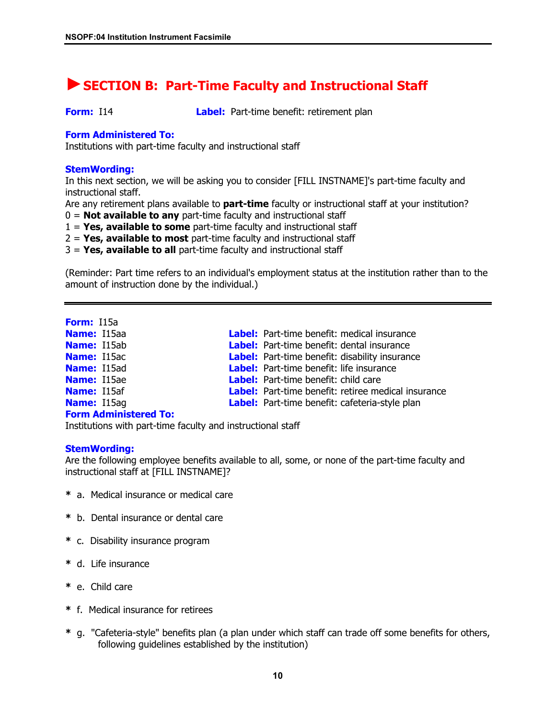# **►SECTION B: Part-Time Faculty and Instructional Staff**

**Form:** I14 **Label:** Part-time benefit: retirement plan

## **Form Administered To:**

Institutions with part-time faculty and instructional staff

#### **StemWording:**

In this next section, we will be asking you to consider [FILL INSTNAME]'s part-time faculty and instructional staff.

Are any retirement plans available to **part-time** faculty or instructional staff at your institution?

- 0 = **Not available to any** part-time faculty and instructional staff
- 1 = **Yes, available to some** part-time faculty and instructional staff
- 2 = **Yes, available to most** part-time faculty and instructional staff
- 3 = **Yes, available to all** part-time faculty and instructional staff

(Reminder: Part time refers to an individual's employment status at the institution rather than to the amount of instruction done by the individual.)

| Form: I15a                   |                                                            |
|------------------------------|------------------------------------------------------------|
| Name: I15aa                  | <b>Label:</b> Part-time benefit: medical insurance         |
| Name: I15ab                  | <b>Label:</b> Part-time benefit: dental insurance          |
| <b>Name: I15ac</b>           | <b>Label:</b> Part-time benefit: disability insurance      |
| <b>Name: I15ad</b>           | <b>Label:</b> Part-time benefit: life insurance            |
| Name: I15ae                  | <b>Label:</b> Part-time benefit: child care                |
| Name: I15af                  | <b>Label:</b> Part-time benefit: retiree medical insurance |
| <b>Name: I15ag</b>           | Label: Part-time benefit: cafeteria-style plan             |
| <b>Form Administered To:</b> |                                                            |

**Form Administered To:**

Institutions with part-time faculty and instructional staff

#### **StemWording:**

Are the following employee benefits available to all, some, or none of the part-time faculty and instructional staff at [FILL INSTNAME]?

- **\*** a. Medical insurance or medical care
- **\*** b. Dental insurance or dental care
- **\*** c. Disability insurance program
- **\*** d. Life insurance
- **\*** e. Child care
- **\*** f. Medical insurance for retirees
- **\*** g. "Cafeteria-style" benefits plan (a plan under which staff can trade off some benefits for others, following guidelines established by the institution)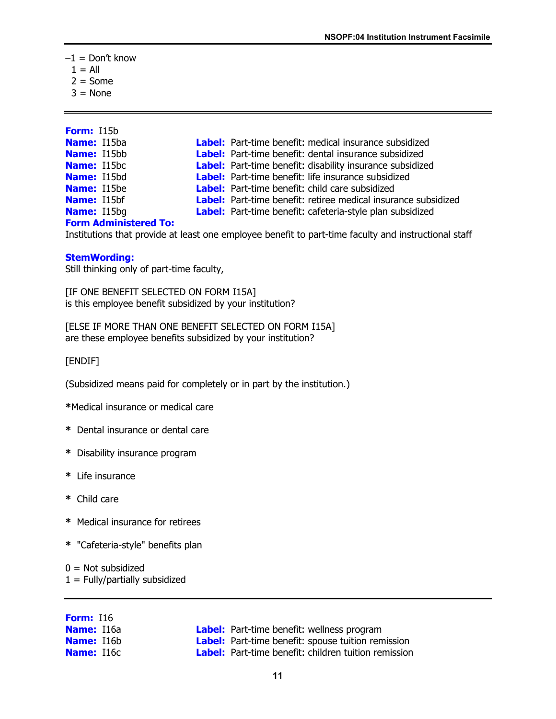- $-1 =$  Don't know
- $1 = All$
- $2 = Some$
- $3 = None$

| Form: I15b                   |                                                                       |  |
|------------------------------|-----------------------------------------------------------------------|--|
| Name: I15ba                  | <b>Label:</b> Part-time benefit: medical insurance subsidized         |  |
| <b>Name: I15bb</b>           | <b>Label:</b> Part-time benefit: dental insurance subsidized          |  |
| <b>Name: I15bc</b>           | <b>Label:</b> Part-time benefit: disability insurance subsidized      |  |
| <b>Name: I15bd</b>           | Label: Part-time benefit: life insurance subsidized                   |  |
| <b>Name: I15be</b>           | <b>Label:</b> Part-time benefit: child care subsidized                |  |
| <b>Name: I15bf</b>           | <b>Label:</b> Part-time benefit: retiree medical insurance subsidized |  |
| <b>Name: I15bg</b>           | Label: Part-time benefit: cafeteria-style plan subsidized             |  |
| <b>Form Administered To:</b> |                                                                       |  |

Institutions that provide at least one employee benefit to part-time faculty and instructional staff

### **StemWording:**

Still thinking only of part-time faculty,

[IF ONE BENEFIT SELECTED ON FORM I15A] is this employee benefit subsidized by your institution?

[ELSE IF MORE THAN ONE BENEFIT SELECTED ON FORM I15A] are these employee benefits subsidized by your institution?

[ENDIF]

(Subsidized means paid for completely or in part by the institution.)

**\***Medical insurance or medical care

- **\*** Dental insurance or dental care
- **\*** Disability insurance program
- **\*** Life insurance
- **\*** Child care
- **\*** Medical insurance for retirees
- **\*** "Cafeteria-style" benefits plan
- $0 =$  Not subsidized  $1$  = Fully/partially subsidized

**Form:** I16 **Name:** I16a **Label:** Part-time benefit: wellness program **Name:** I16b **Label:** Part-time benefit: spouse tuition remission **Name:** I16c **Label:** Part-time benefit: children tuition remission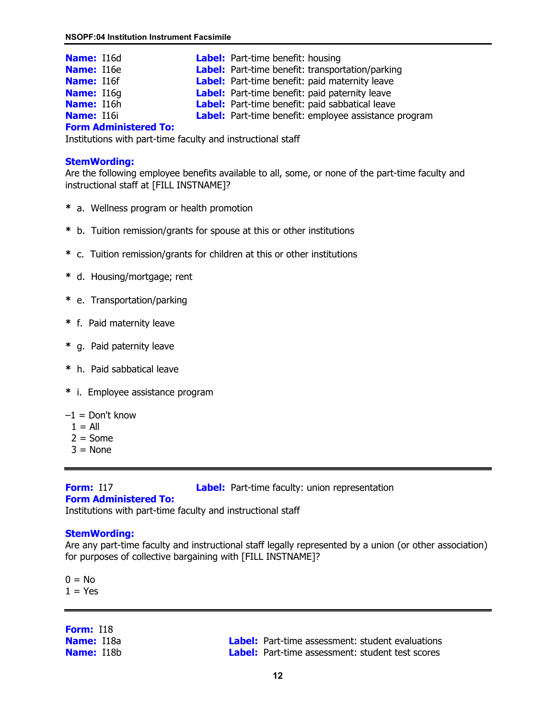| Name: I16d                      | <b>Label:</b> Part-time benefit: housing                |
|---------------------------------|---------------------------------------------------------|
| Name: I16e                      | <b>Label:</b> Part-time benefit: transportation/parking |
| Name: I16f                      | Label: Part-time benefit: paid maternity leave          |
| <b>Name: 116g</b>               | Label: Part-time benefit: paid paternity leave          |
| Name: I16h                      | Label: Part-time benefit: paid sabbatical leave         |
| Name: I16i                      | Label: Part-time benefit: employee assistance program   |
| <b>Fame Administrator d'Est</b> |                                                         |

#### **Form Administered To:**

Institutions with part-time faculty and instructional staff

#### **StemWording:**

Are the following employee benefits available to all, some, or none of the part-time faculty and instructional staff at [FILL INSTNAME]?

- **\*** a. Wellness program or health promotion
- **\*** b. Tuition remission/grants for spouse at this or other institutions
- **\*** c. Tuition remission/grants for children at this or other institutions
- **\*** d. Housing/mortgage; rent
- **\*** e. Transportation/parking
- **\*** f. Paid maternity leave
- **\*** g. Paid paternity leave
- **\*** h. Paid sabbatical leave
- **\*** i. Employee assistance program
- $-1 =$  Don't know
- $1 = All$
- $2 = Some$
- $3 = None$

# **Form:** I17 **Label:** Part-time faculty: union representation **Form Administered To:**

Institutions with part-time faculty and instructional staff

#### **StemWording:**

Are any part-time faculty and instructional staff legally represented by a union (or other association) for purposes of collective bargaining with [FILL INSTNAME]?

 $0 = No$  $1 = Yes$ 

**Form:** I18

**Name:** I18a **Label:** Part-time assessment: student evaluations **Name:** I18b **Label:** Part-time assessment: student test scores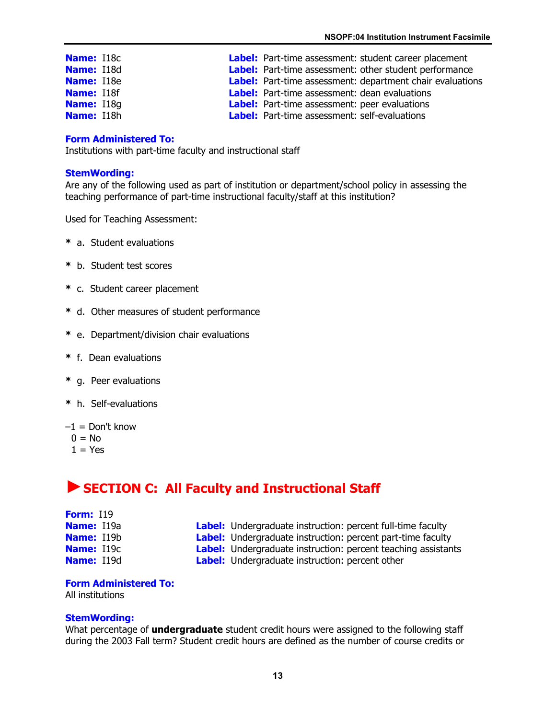| Name: I18c |  | Label: Part-time assessment: student career placement            |
|------------|--|------------------------------------------------------------------|
| Name: I18d |  | Label: Part-time assessment: other student performance           |
| Name: I18e |  | <b>Label:</b> Part-time assessment: department chair evaluations |
| Name: I18f |  | <b>Label:</b> Part-time assessment: dean evaluations             |
| Name: I18q |  | Label: Part-time assessment: peer evaluations                    |
| Name: I18h |  | <b>Label:</b> Part-time assessment: self-evaluations             |

#### **Form Administered To:**

Institutions with part-time faculty and instructional staff

#### **StemWording:**

Are any of the following used as part of institution or department/school policy in assessing the teaching performance of part-time instructional faculty/staff at this institution?

Used for Teaching Assessment:

- **\*** a. Student evaluations
- **\*** b. Student test scores
- **\*** c. Student career placement
- **\*** d. Other measures of student performance
- **\*** e. Department/division chair evaluations
- **\*** f. Dean evaluations
- **\*** g. Peer evaluations
- **\*** h. Self-evaluations
- $-1 =$  Don't know
- $0 = No$
- $1 = Yes$

# **►SECTION C: All Faculty and Instructional Staff**

**Form:** I19

**Name:** I19a **Label:** Undergraduate instruction: percent full-time faculty **Name:** I19b **Label:** Undergraduate instruction: percent part-time faculty **Name:** I19c **Label:** Undergraduate instruction: percent teaching assistants **Name:** I19d **Label:** Undergraduate instruction: percent other

#### **Form Administered To:**

All institutions

#### **StemWording:**

What percentage of **undergraduate** student credit hours were assigned to the following staff during the 2003 Fall term? Student credit hours are defined as the number of course credits or